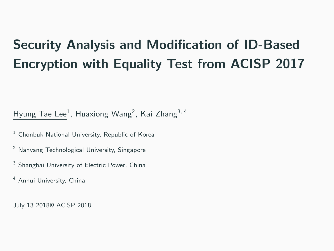# Security Analysis and Modification of ID-Based Encryption with Equality Test from ACISP 2017

Hyung Tae Lee<sup>1</sup>, Huaxiong Wang<sup>2</sup>, Kai Zhang<sup>3, 4</sup>

- $1$  Chonbuk National University, Republic of Korea
- <sup>2</sup> Nanyang Technological University, Singapore
- <sup>3</sup> Shanghai University of Electric Power, China
- <sup>4</sup> Anhui University, China

July 13 2018@ ACISP 2018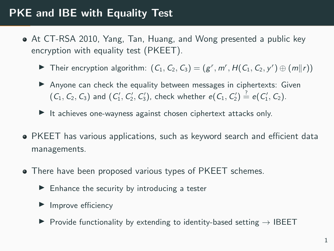## PKE and IBE with Equality Test

- At CT-RSA 2010, Yang, Tan, Huang, and Wong presented a public key encryption with equality test (PKEET).
	- Their encryption algorithm:  $(C_1, C_2, C_3) = (g^r, m^r, H(C_1, C_2, y^r) \oplus (m||r))$
	- $\triangleright$  Anyone can check the equality between messages in ciphertexts: Given  $(C_1, C_2, C_3)$  and  $(C'_1, C'_2, C'_3)$ , check whether  $e(C_1, C'_2) \stackrel{?}{=} e(C'_1, C_2)$ .
	- $\blacktriangleright$  It achieves one-wayness against chosen ciphertext attacks only.
- PKEET has various applications, such as keyword search and efficient data managements.
- There have been proposed various types of PKEET schemes.
	- $\blacktriangleright$  Enhance the security by introducing a tester
	- $\blacktriangleright$  Improve efficiency
	- $\triangleright$  Provide functionality by extending to identity-based setting  $\rightarrow$  IBEET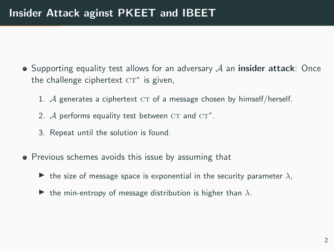- $\bullet$  Supporting equality test allows for an adversary  $\mathcal A$  an **insider attack**: Once the challenge ciphertext  $CT^*$  is given,
	- 1.  $A$  generates a ciphertext  $CT$  of a message chosen by himself/herself.
	- 2.  $A$  performs equality test between  $CT$  and  $CT^*$ .
	- 3. Repeat until the solution is found.
- **•** Previous schemes avoids this issue by assuming that
	- $\triangleright$  the size of message space is exponential in the security parameter  $\lambda$ ,
	- $\blacktriangleright$  the min-entropy of message distribution is higher than  $\lambda$ .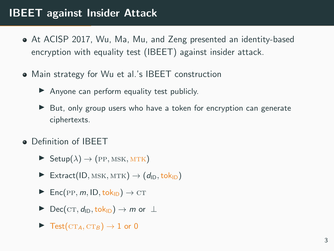## IBEET against Insider Attack

- At ACISP 2017, Wu, Ma, Mu, and Zeng presented an identity-based encryption with equality test (IBEET) against insider attack.
- Main strategy for Wu et al.'s IBEET construction
	- $\blacktriangleright$  Anyone can perform equality test publicly.
	- $\triangleright$  But, only group users who have a token for encryption can generate ciphertexts.
- **o** Definition of IBFFT
	- $\blacktriangleright$  Setup $(\lambda) \rightarrow (PP, MSK, MTK)$
	- Extract(ID, MSK, MTK)  $\rightarrow$  (d<sub>ID</sub>, tok<sub>ID</sub>)
	- $\triangleright$  Enc(PP, m, ID, tok<sub>ID</sub>)  $\rightarrow$  CT
	- $\triangleright$  Dec(CT,  $d_{\text{ID}}$ , tok<sub>ID</sub>)  $\rightarrow$  *m* or  $\perp$
	- $\blacktriangleright$  Test(CT<sub>A</sub>, CT<sub>B</sub>)  $\rightarrow$  1 or 0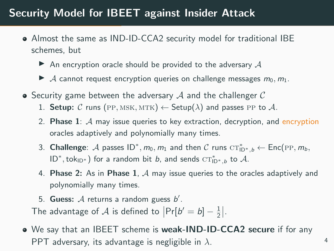### Security Model for IBEET against Insider Attack

- Almost the same as IND-ID-CCA2 security model for traditional IBE schemes, but
	- $\triangleright$  An encryption oracle should be provided to the adversary A
	- A cannot request encryption queries on challenge messages  $m_0, m_1$ .
- $\bullet$  Security game between the adversary  $\mathcal A$  and the challenger  $\mathcal C$ 
	- 1. Setup: C runs (PP, MSK, MTK)  $\leftarrow$  Setup( $\lambda$ ) and passes PP to A.
	- 2. Phase 1:  $\mathcal A$  may issue queries to key extraction, decryption, and encryption oracles adaptively and polynomially many times.
	- 3. Challenge: A passes  $ID^*, m_0, m_1$  and then C runs  $CT^*_{ID^*, b} \leftarrow Enc(PP, m_b,$  $ID^*, tok_{ID^*}$ ) for a random bit b, and sends  $CT^*_{ID^*,b}$  to  $A$ .
	- 4. Phase 2: As in Phase 1,  $\mathcal A$  may issue queries to the oracles adaptively and polynomially many times.
	- 5. Guess:  $A$  returns a random guess  $b'$ . The advantage of  $\mathcal A$  is defined to  $\left|\Pr[b'=b]-\frac{1}{2}\right|$ .
- We say that an IBEET scheme is weak-IND-ID-CCA2 secure if for any PPT adversary, its advantage is negligible in  $\lambda$ .

4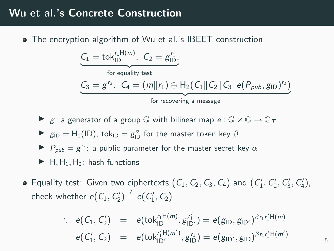#### Wu et al.'s Concrete Construction

The encryption algorithm of Wu et al.'s IBEET construction

$$
\underbrace{C_1=\text{tok}_{\text{ID}}^{r_1\text{H}(m)},\ C_2=g_{\text{ID}}^{r_1}}_{\text{for equality test}},\\\underbrace{C_3=g^{r_2},\ C_4=(m\|r_1)\oplus\text{H}_2(C_1\|C_2\|C_3\|e(P_{pub},g_{\text{ID}})^{r_2})}_{\text{for recovering a message}}
$$

- $\triangleright$  g: a generator of a group  $\mathbb G$  with bilinear map  $e : \mathbb G \times \mathbb G \to \mathbb G_T$
- ►  $g_{\text{ID}} = H_1(\text{ID})$ , tok<sub>ID</sub> =  $g_{\text{ID}}^{\beta}$  for the master token key  $\beta$
- $\blacktriangleright$   $P_{pub} = g^{\alpha}$ : a public parameter for the master secret key  $\alpha$
- $\blacktriangleright$  H, H<sub>1</sub>, H<sub>2</sub>: hash functions
- Equality test: Given two ciphertexts  $(C_1, C_2, C_3, C_4)$  and  $(C'_1, C'_2, C'_3, C'_4)$ , check whether  $e(C_1, C'_2) \stackrel{?}{=} e(C'_1, C_2)$

$$
e(C_1, C_2') = e(tokID'nH(m), gID'n') = e(gID, gID')\beta n r'_1H(m)e(C'_1, C_2) = e(tokID''nH(m'), gID'n') = e(gID', gID)\beta n r'_1H(m')
$$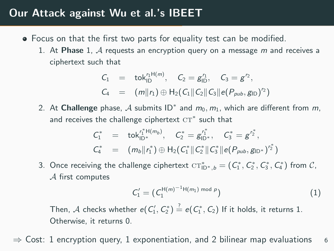#### Our Attack against Wu et al.'s IBEET

- Focus on that the first two parts for equality test can be modified.
	- 1. At Phase 1,  $\mathcal A$  requests an encryption query on a message  $m$  and receives a ciphertext such that

$$
C_1 = \text{tok}_{1D}^{r_1 H(m)}, \quad C_2 = g_{1D}^{r_1}, \quad C_3 = g^{r_2},
$$
  

$$
C_4 = (m||r_1) \oplus H_2(C_1||C_2||C_3||e(P_{pub}, g_{1D})^{r_2})
$$

2. At Challenge phase, A submits  $ID^*$  and  $m_0, m_1$ , which are different from  $m$ , and receives the challenge ciphertext  $\mathrm{CT}^*$  such that

$$
\begin{array}{lcl} C_1^* & = & \text{tok}_{\text{ID}^*}^{\Gamma_1^*H(m_b)}, \quad C_2^* = g_{\text{ID}^*}^{\Gamma_1^*}, \quad C_3^* = g^{\Gamma_2^*}, \\ C_4^* & = & (m_b\| \Gamma_1^*) \oplus H_2(C_1^* \| C_2^* \| C_3^* \| e(P_{pub}, g_{\text{ID}^*})^{\Gamma_2^*}) \end{array}
$$

3. Once receiving the challenge ciphertext  $CT^*_{\mathsf{ID}^*,b} = (C^*_1, C^*_2, C^*_3, C^*_4)$  from  $\mathcal{C},$ A first computes

$$
C_1' = (C_1^{H(m)^{-1}H(m_1) \bmod p})
$$
 (1)

Then,  ${\mathcal A}$  checks whether  $e(\mathcal{C}_1',\mathcal{C}_2^*)\stackrel{?}{=} e(\mathcal{C}_1^*,\mathcal{C}_2)$  If it holds, it returns 1. Otherwise, it returns 0.

Cost: 1 encryption query, 1 exponentiation, and 2 bilinear map evaluations  $6$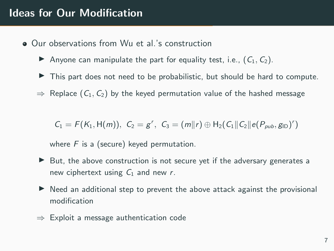- Our observations from Wu et al.'s construction
	- Anyone can manipulate the part for equality test, i.e.,  $(C_1, C_2)$ .
	- $\blacktriangleright$  This part does not need to be probabilistic, but should be hard to compute.
	- $\Rightarrow$  Replace  $(C_1, C_2)$  by the keyed permutation value of the hashed message

 $C_1 = F(K_1, H(m)), C_2 = g^r, C_3 = (m||r) \oplus H_2(C_1||C_2||e(P_{pub}, g_{ID})^r)$ 

where  $F$  is a (secure) keyed permutation.

- $\triangleright$  But, the above construction is not secure yet if the adversary generates a new ciphertext using  $C_1$  and new r.
- $\triangleright$  Need an additional step to prevent the above attack against the provisional modification
- $\Rightarrow$  Exploit a message authentication code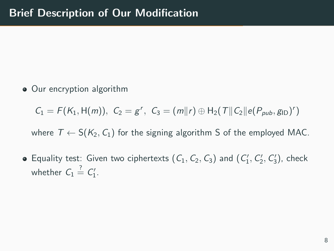• Our encryption algorithm

 $C_1 = F(K_1, \mathcal{H}(m)), C_2 = g^r, C_3 = (m||r) \oplus \mathcal{H}_2(T||C_2||e(P_{pub}, g_{\text{ID}})^r)$ 

where  $T \leftarrow S(K_2, C_1)$  for the signing algorithm S of the employed MAC.

Equality test: Given two ciphertexts  $(C_1, C_2, C_3)$  and  $(C'_1, C'_2, C'_3)$ , check whether  $C_1 \stackrel{?}{=} C_1'.$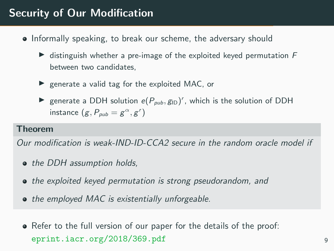## Security of Our Modification

- Informally speaking, to break our scheme, the adversary should
	- $\triangleright$  distinguish whether a pre-image of the exploited keyed permutation F between two candidates,
	- $\blacktriangleright$  generate a valid tag for the exploited MAC, or
	- generate a DDH solution  $e(P_{pub}, g_{ID})^r$ , which is the solution of DDH instance  $(g, P_{\rho u b} = g^{\alpha}, g^r)$

#### Theorem

Our modification is weak-IND-ID-CCA2 secure in the random oracle model if

- the DDH assumption holds,
- the exploited keyed permutation is strong pseudorandom, and
- the employed MAC is existentially unforgeable.
- Refer to the full version of our paper for the details of the proof: eprint.iacr.org/2018/369.pdf 9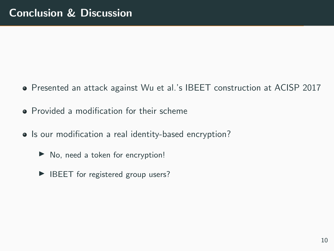- Presented an attack against Wu et al.'s IBEET construction at ACISP 2017
- **•** Provided a modification for their scheme
- Is our modification a real identity-based encryption?
	- $\triangleright$  No, need a token for encryption!
	- $\blacktriangleright$  IBEET for registered group users?